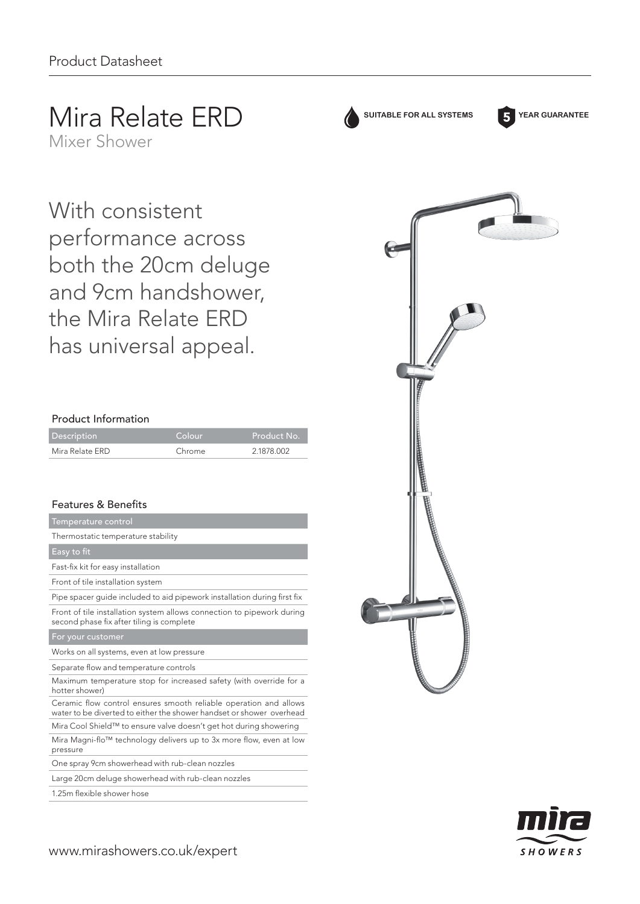# Mira Relate ERD

Mixer Shower

With consistent performance across both the 20cm deluge and 9cm handshower, the Mira Relate ERD has universal appeal.

## Product Information

| <b>Description</b> | Colour | Product No. |
|--------------------|--------|-------------|
| Mira Relate ERD    | Chrome | 2.1878.002  |

# Features & Benefits

| Temperature control                                                                                                                       |
|-------------------------------------------------------------------------------------------------------------------------------------------|
| Thermostatic temperature stability                                                                                                        |
| Easy to fit                                                                                                                               |
| Fast-fix kit for easy installation                                                                                                        |
| Front of tile installation system                                                                                                         |
| Pipe spacer guide included to aid pipework installation during first fix                                                                  |
| Front of tile installation system allows connection to pipework during<br>second phase fix after tiling is complete                       |
| For your customer                                                                                                                         |
| Works on all systems, even at low pressure                                                                                                |
| Separate flow and temperature controls                                                                                                    |
|                                                                                                                                           |
| Maximum temperature stop for increased safety (with override for a<br>hotter shower)                                                      |
| Ceramic flow control ensures smooth reliable operation and allows<br>water to be diverted to either the shower handset or shower overhead |
| Mira Cool Shield™ to ensure valve doesn't get hot during showering                                                                        |
| Mira Magni-flo™ technology delivers up to 3x more flow, even at low<br>pressure                                                           |
| One spray 9cm showerhead with rub-clean nozzles                                                                                           |

Large 20cm deluge showerhead with rub-clean nozzles

1.25m flexible shower hose



**SUITABLE FOR ALL SYSTEMS YEAR GUARANTEE**